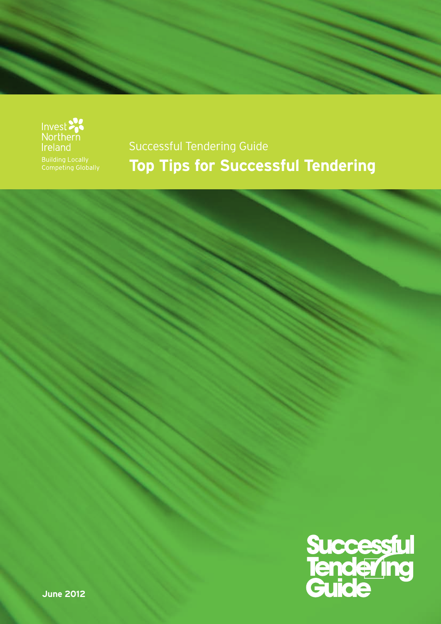



#### Successful Tendering Guide **Top Tips for Successful Tendering**



**June 2012**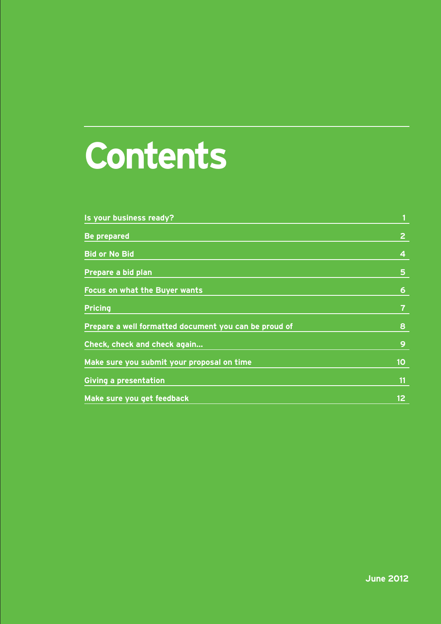# **Contents**

| Is your business ready?                               | $\mathbf{1}$     |
|-------------------------------------------------------|------------------|
| <b>Be prepared</b>                                    | $\overline{2}$   |
| <b>Bid or No Bid</b>                                  | $\boldsymbol{4}$ |
| Prepare a bid plan                                    | 5                |
| <b>Focus on what the Buyer wants</b>                  | $6\phantom{1}6$  |
| <b>Pricing</b>                                        | $\overline{7}$   |
| Prepare a well formatted document you can be proud of | 8                |
| Check, check and check again                          | 9                |
| Make sure you submit your proposal on time            | 10               |
| <b>Giving a presentation</b>                          | 11               |
| Make sure you get feedback                            | 12 <sub>2</sub>  |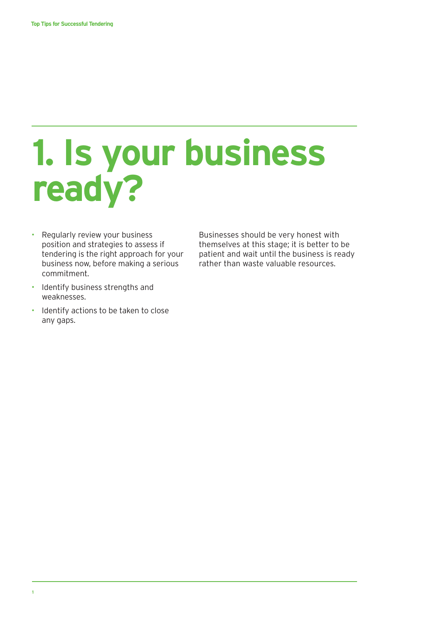## **1. Is your business ready?**

- Regularly review your business position and strategies to assess if tendering is the right approach for your business now, before making a serious commitment.
- Identify business strengths and weaknesses.
- Identify actions to be taken to close any gaps.

Businesses should be very honest with themselves at this stage; it is better to be patient and wait until the business is ready rather than waste valuable resources.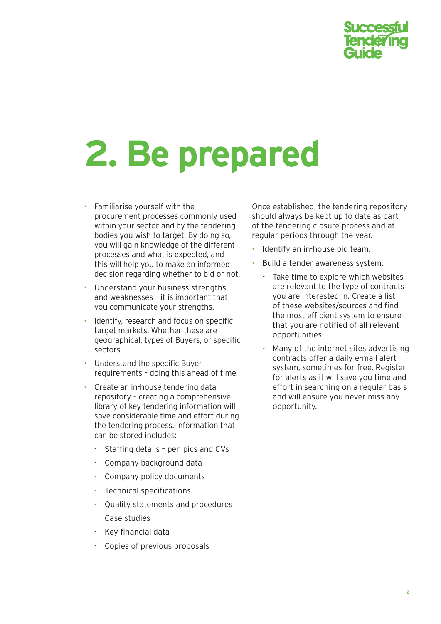

## **2. Be prepared**

- Familiarise yourself with the procurement processes commonly used within your sector and by the tendering bodies you wish to target. By doing so, you will gain knowledge of the different processes and what is expected, and this will help you to make an informed decision regarding whether to bid or not.
- Understand your business strengths and weaknesses – it is important that you communicate your strengths.
- Identify, research and focus on specific target markets. Whether these are geographical, types of Buyers, or specific sectors.
- Understand the specific Buyer requirements – doing this ahead of time.
- Create an in-house tendering data repository – creating a comprehensive library of key tendering information will save considerable time and effort during the tendering process. Information that can be stored includes:
	- Staffing details pen pics and CVs
	- Company background data
	- Company policy documents
	- Technical specifications
	- Quality statements and procedures
	- Case studies
	- Key financial data
	- Copies of previous proposals

Once established, the tendering repository should always be kept up to date as part of the tendering closure process and at regular periods through the year.

- Identify an in-house bid team.
- Build a tender awareness system.
	- Take time to explore which websites are relevant to the type of contracts you are interested in. Create a list of these websites/sources and find the most efficient system to ensure that you are notified of all relevant opportunities.
	- Many of the internet sites advertising contracts offer a daily e-mail alert system, sometimes for free. Register for alerts as it will save you time and effort in searching on a regular basis and will ensure you never miss any opportunity.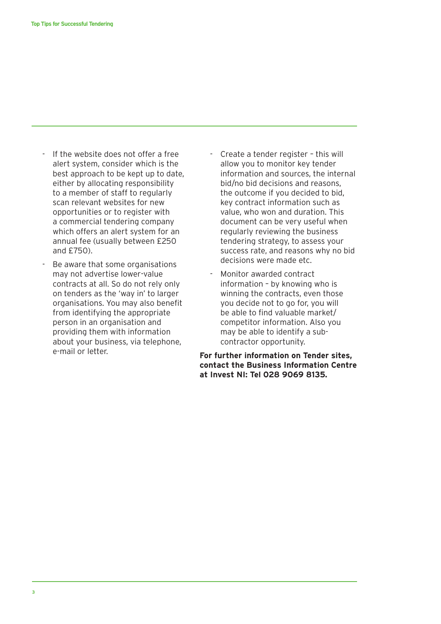- If the website does not offer a free alert system, consider which is the best approach to be kept up to date, either by allocating responsibility to a member of staff to regularly scan relevant websites for new opportunities or to register with a commercial tendering company which offers an alert system for an annual fee (usually between £250 and £750).
- Be aware that some organisations may not advertise lower-value contracts at all. So do not rely only on tenders as the 'way in' to larger organisations. You may also benefit from identifying the appropriate person in an organisation and providing them with information about your business, via telephone, e-mail or letter.
- Create a tender register this will allow you to monitor key tender information and sources, the internal bid/no bid decisions and reasons, the outcome if you decided to bid, key contract information such as value, who won and duration. This document can be very useful when regularly reviewing the business tendering strategy, to assess your success rate, and reasons why no bid decisions were made etc.
- Monitor awarded contract information – by knowing who is winning the contracts, even those you decide not to go for, you will be able to find valuable market/ competitor information. Also you may be able to identify a subcontractor opportunity.

**For further information on Tender sites, contact the Business Information Centre at Invest NI: Tel 028 9069 8135.**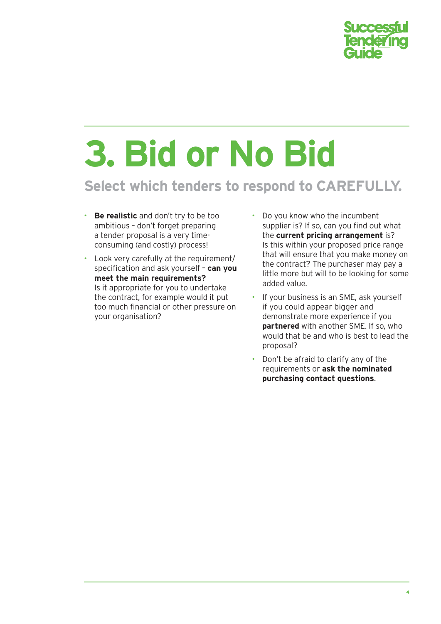

# **3. Bid or No Bid**

#### **Select which tenders to respond to CAREFULLY.**

- **Be realistic** and don't try to be too ambitious – don't forget preparing a tender proposal is a very timeconsuming (and costly) process!
- Look very carefully at the requirement/ specification and ask yourself – **can you meet the main requirements?** Is it appropriate for you to undertake the contract, for example would it put too much financial or other pressure on your organisation?
- Do you know who the incumbent supplier is? If so, can you find out what the **current pricing arrangement** is? Is this within your proposed price range that will ensure that you make money on the contract? The purchaser may pay a little more but will to be looking for some added value.
- If your business is an SME, ask yourself if you could appear bigger and demonstrate more experience if you **partnered** with another SME. If so, who would that be and who is best to lead the proposal?
- Don't be afraid to clarify any of the requirements or **ask the nominated purchasing contact questions**.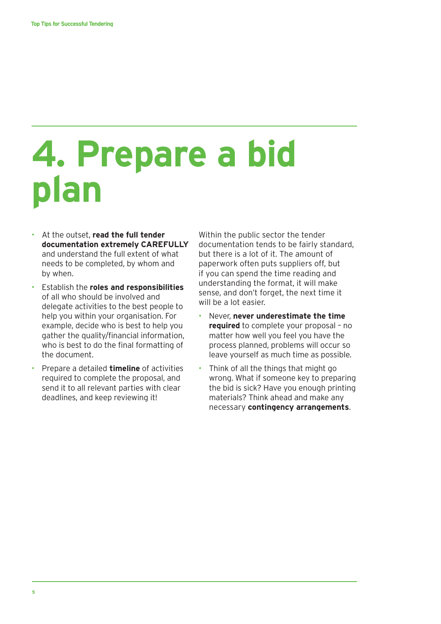## **4. Prepare a bid plan**

- At the outset, **read the full tender documentation extremely CAREFULLY** and understand the full extent of what needs to be completed, by whom and by when.
- Establish the **roles and responsibilities** of all who should be involved and delegate activities to the best people to help you within your organisation. For example, decide who is best to help you gather the quality/financial information, who is best to do the final formatting of the document.
- Prepare a detailed **timeline** of activities required to complete the proposal, and send it to all relevant parties with clear deadlines, and keep reviewing it!

Within the public sector the tender documentation tends to be fairly standard, but there is a lot of it. The amount of paperwork often puts suppliers off, but if you can spend the time reading and understanding the format, it will make sense, and don't forget, the next time it will be a lot easier.

- Never, **never underestimate the time required** to complete your proposal – no matter how well you feel you have the process planned, problems will occur so leave yourself as much time as possible.
- Think of all the things that might go wrong. What if someone key to preparing the bid is sick? Have you enough printing materials? Think ahead and make any necessary **contingency arrangements**.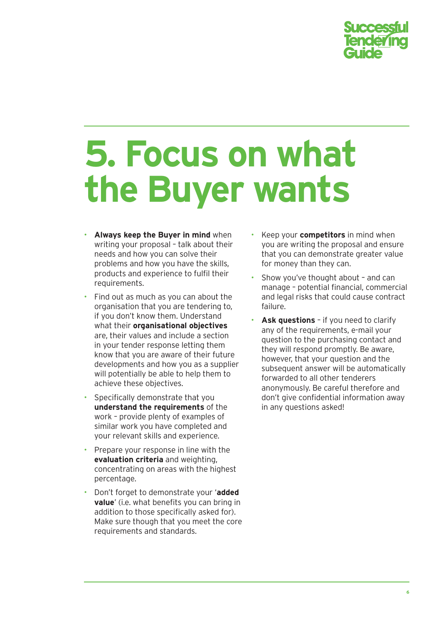

### **5. Focus on what the Buyer wants**

- **Always keep the Buyer in mind** when writing your proposal – talk about their needs and how you can solve their problems and how you have the skills, products and experience to fulfil their requirements.
- Find out as much as you can about the organisation that you are tendering to, if you don't know them. Understand what their **organisational objectives** are, their values and include a section in your tender response letting them know that you are aware of their future developments and how you as a supplier will potentially be able to help them to achieve these objectives.
- Specifically demonstrate that you **understand the requirements** of the work – provide plenty of examples of similar work you have completed and your relevant skills and experience.
- Prepare your response in line with the **evaluation criteria** and weighting, concentrating on areas with the highest percentage.
- Don't forget to demonstrate your '**added value**' (i.e. what benefits you can bring in addition to those specifically asked for). Make sure though that you meet the core requirements and standards.
- Keep your **competitors** in mind when you are writing the proposal and ensure that you can demonstrate greater value for money than they can.
- Show you've thought about and can manage – potential financial, commercial and legal risks that could cause contract failure.
- **Ask questions** if you need to clarify any of the requirements, e-mail your question to the purchasing contact and they will respond promptly. Be aware, however, that your question and the subsequent answer will be automatically forwarded to all other tenderers anonymously. Be careful therefore and don't give confidential information away in any questions asked!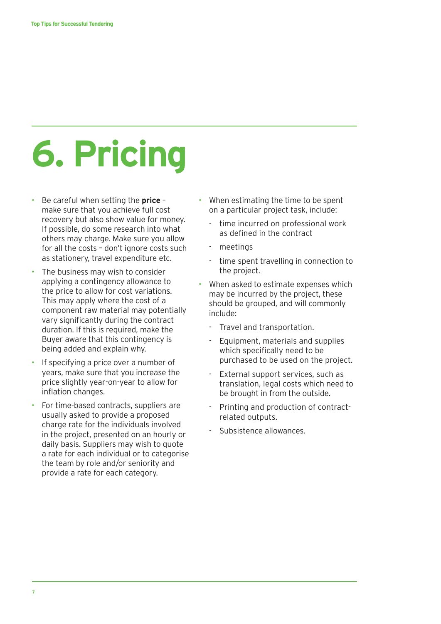# **6. Pricing**

- Be careful when setting the **price** make sure that you achieve full cost recovery but also show value for money. If possible, do some research into what others may charge. Make sure you allow for all the costs – don't ignore costs such as stationery, travel expenditure etc.
- The business may wish to consider applying a contingency allowance to the price to allow for cost variations. This may apply where the cost of a component raw material may potentially vary significantly during the contract duration. If this is required, make the Buyer aware that this contingency is being added and explain why.
- If specifying a price over a number of years, make sure that you increase the price slightly year-on-year to allow for inflation changes.
- For time-based contracts, suppliers are usually asked to provide a proposed charge rate for the individuals involved in the project, presented on an hourly or daily basis. Suppliers may wish to quote a rate for each individual or to categorise the team by role and/or seniority and provide a rate for each category.
- When estimating the time to be spent on a particular project task, include:
	- time incurred on professional work as defined in the contract
	- meetings
	- time spent travelling in connection to the project.
- When asked to estimate expenses which may be incurred by the project, these should be grouped, and will commonly include:
	- Travel and transportation.
	- Equipment, materials and supplies which specifically need to be purchased to be used on the project.
	- External support services, such as translation, legal costs which need to be brought in from the outside.
	- Printing and production of contractrelated outputs.
	- Subsistence allowances.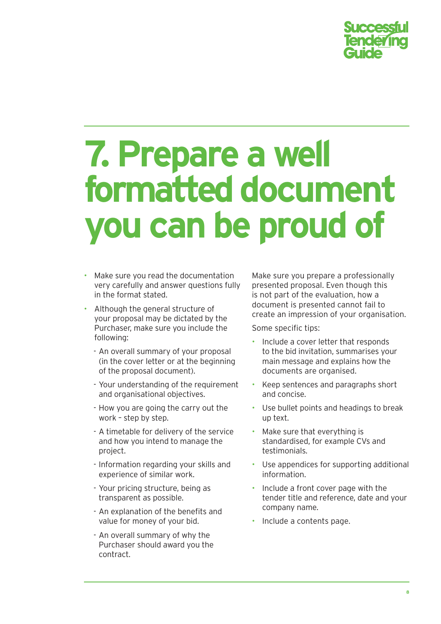

### **7. Prepare a well formatted document you can be proud of**

- Make sure you read the documentation very carefully and answer questions fully in the format stated.
- Although the general structure of your proposal may be dictated by the Purchaser, make sure you include the following:
	- An overall summary of your proposal (in the cover letter or at the beginning of the proposal document).
	- Your understanding of the requirement and organisational objectives.
	- How you are going the carry out the work – step by step.
	- A timetable for delivery of the service and how you intend to manage the project.
	- Information regarding your skills and experience of similar work.
	- Your pricing structure, being as transparent as possible.
	- An explanation of the benefits and value for money of your bid.
	- An overall summary of why the Purchaser should award you the contract.

Make sure you prepare a professionally presented proposal. Even though this is not part of the evaluation, how a document is presented cannot fail to create an impression of your organisation.

Some specific tips:

- Include a cover letter that responds to the bid invitation, summarises your main message and explains how the documents are organised.
- Keep sentences and paragraphs short and concise.
- Use bullet points and headings to break up text.
- Make sure that everything is standardised, for example CVs and testimonials.
- Use appendices for supporting additional information.
- Include a front cover page with the tender title and reference, date and your company name.
- Include a contents page.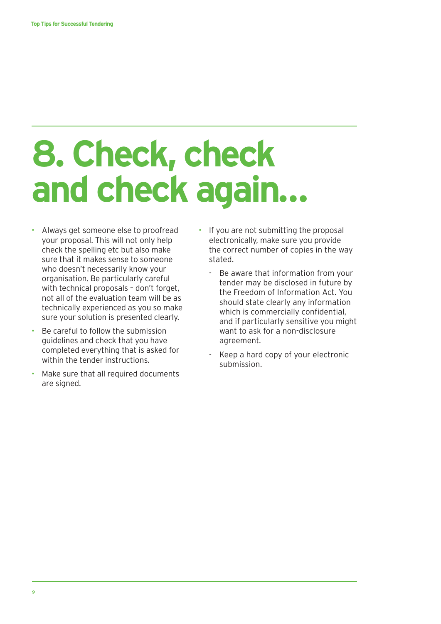## **8. Check, check and check again…**

- Always get someone else to proofread your proposal. This will not only help check the spelling etc but also make sure that it makes sense to someone who doesn't necessarily know your organisation. Be particularly careful with technical proposals – don't forget, not all of the evaluation team will be as technically experienced as you so make sure your solution is presented clearly.
- Be careful to follow the submission guidelines and check that you have completed everything that is asked for within the tender instructions.
- Make sure that all required documents are signed.
- If you are not submitting the proposal electronically, make sure you provide the correct number of copies in the way stated.
	- Be aware that information from your tender may be disclosed in future by the Freedom of Information Act. You should state clearly any information which is commercially confidential, and if particularly sensitive you might want to ask for a non-disclosure agreement.
	- Keep a hard copy of your electronic submission.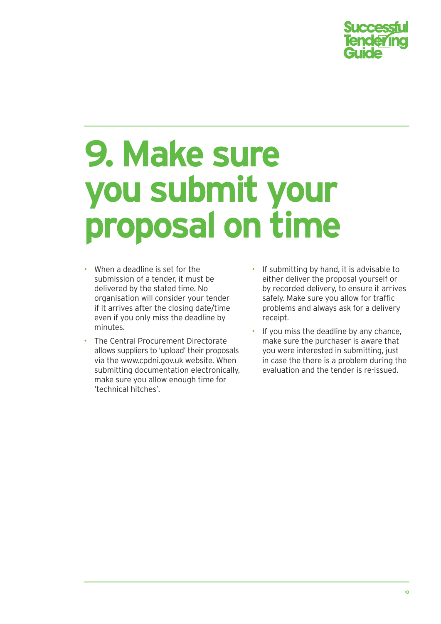

### **9. Make sure you submit your proposal on time**

- When a deadline is set for the submission of a tender, it must be delivered by the stated time. No organisation will consider your tender if it arrives after the closing date/time even if you only miss the deadline by minutes.
- The Central Procurement Directorate allows suppliers to 'upload' their proposals via the www.cpdni.gov.uk website. When submitting documentation electronically, make sure you allow enough time for 'technical hitches'.
- If submitting by hand, it is advisable to either deliver the proposal yourself or by recorded delivery, to ensure it arrives safely. Make sure you allow for traffic problems and always ask for a delivery receipt.
- If you miss the deadline by any chance, make sure the purchaser is aware that you were interested in submitting, just in case the there is a problem during the evaluation and the tender is re-issued.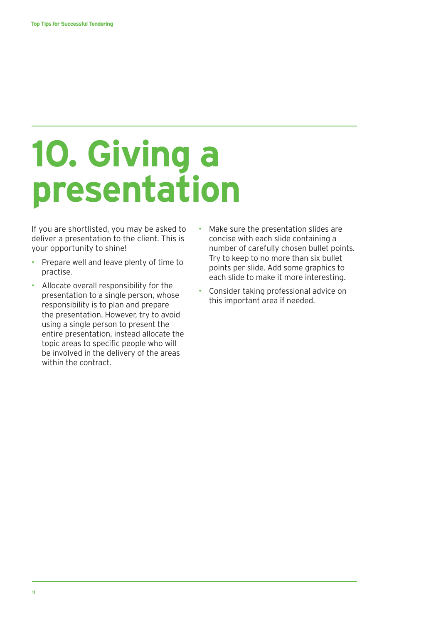# **10. Giving a presentation**

If you are shortlisted, you may be asked to deliver a presentation to the client. This is your opportunity to shine!

- Prepare well and leave plenty of time to practise.
- Allocate overall responsibility for the presentation to a single person, whose responsibility is to plan and prepare the presentation. However, try to avoid using a single person to present the entire presentation, instead allocate the topic areas to specific people who will be involved in the delivery of the areas within the contract.
- Make sure the presentation slides are concise with each slide containing a number of carefully chosen bullet points. Try to keep to no more than six bullet points per slide. Add some graphics to each slide to make it more interesting.
- Consider taking professional advice on this important area if needed.